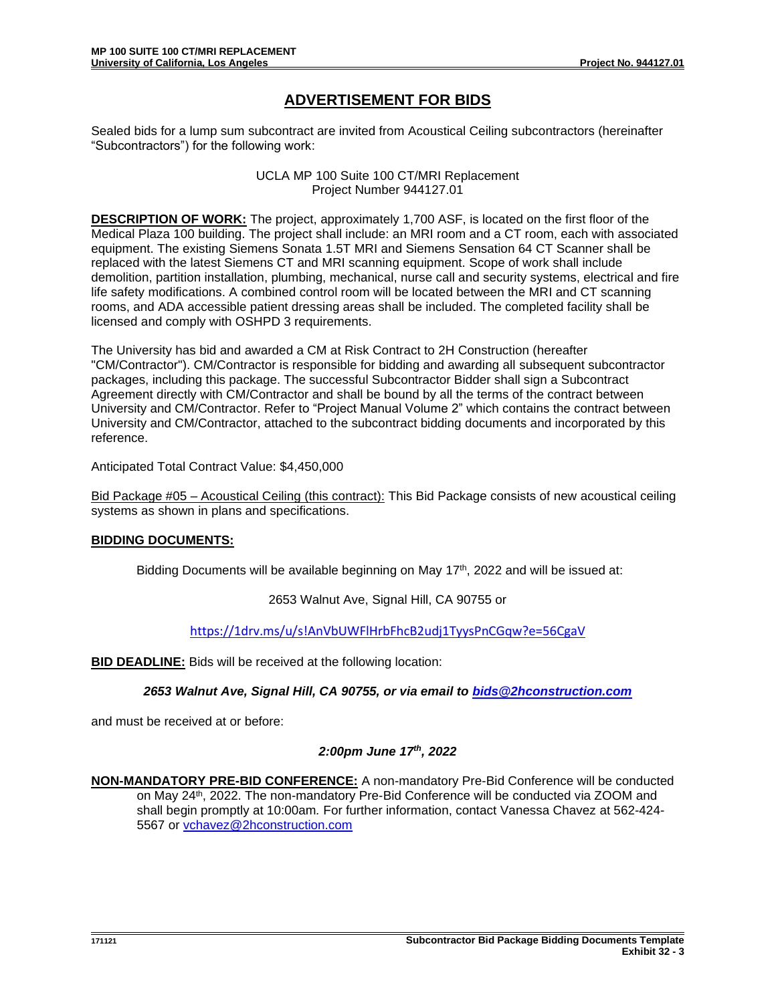## **ADVERTISEMENT FOR BIDS**

Sealed bids for a lump sum subcontract are invited from Acoustical Ceiling subcontractors (hereinafter "Subcontractors") for the following work:

> UCLA MP 100 Suite 100 CT/MRI Replacement Project Number 944127.01

**DESCRIPTION OF WORK:** The project, approximately 1,700 ASF, is located on the first floor of the Medical Plaza 100 building. The project shall include: an MRI room and a CT room, each with associated equipment. The existing Siemens Sonata 1.5T MRI and Siemens Sensation 64 CT Scanner shall be replaced with the latest Siemens CT and MRI scanning equipment. Scope of work shall include demolition, partition installation, plumbing, mechanical, nurse call and security systems, electrical and fire life safety modifications. A combined control room will be located between the MRI and CT scanning rooms, and ADA accessible patient dressing areas shall be included. The completed facility shall be licensed and comply with OSHPD 3 requirements.

The University has bid and awarded a CM at Risk Contract to 2H Construction (hereafter "CM/Contractor"). CM/Contractor is responsible for bidding and awarding all subsequent subcontractor packages, including this package. The successful Subcontractor Bidder shall sign a Subcontract Agreement directly with CM/Contractor and shall be bound by all the terms of the contract between University and CM/Contractor. Refer to "Project Manual Volume 2" which contains the contract between University and CM/Contractor, attached to the subcontract bidding documents and incorporated by this reference.

Anticipated Total Contract Value: \$4,450,000

Bid Package #05 – Acoustical Ceiling (this contract): This Bid Package consists of new acoustical ceiling systems as shown in plans and specifications.

## **BIDDING DOCUMENTS:**

Bidding Documents will be available beginning on May  $17<sup>th</sup>$ , 2022 and will be issued at:

2653 Walnut Ave, Signal Hill, CA 90755 or

<https://1drv.ms/u/s!AnVbUWFlHrbFhcB2udj1TyysPnCGqw?e=56CgaV>

**BID DEADLINE:** Bids will be received at the following location:

*2653 Walnut Ave, Signal Hill, CA 90755, or via email to [bids@2hconstruction.com](mailto:bids@2hconstruction.com)*

and must be received at or before:

## *2:00pm June 17th, 2022*

**NON-MANDATORY PRE-BID CONFERENCE:** A non-mandatory Pre-Bid Conference will be conducted on May 24<sup>th</sup>, 2022. The non-mandatory Pre-Bid Conference will be conducted via ZOOM and shall begin promptly at 10:00am*.* For further information, contact Vanessa Chavez at 562-424- 5567 or [vchavez@2hconstruction.com](mailto:vchavez@2hconstruction.com)